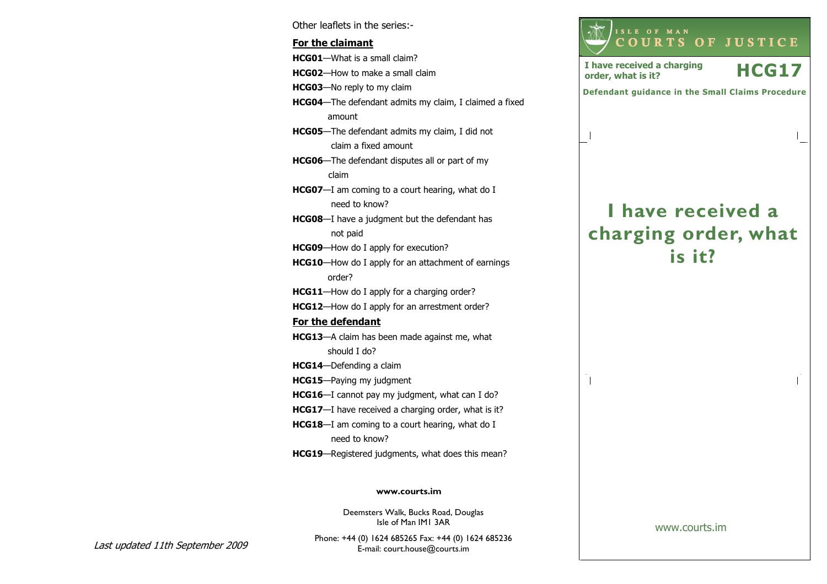Other leaflets in the series:- For the claimantHCG01—What is a small claim? HCG02—How to make a small claim **HCG03**—No reply to my claim HCG04—The defendant admits my claim, I claimed a fixed amount HCG05—The defendant admits my claim, I did not claim a fixed amount HCG06—The defendant disputes all or part of my claim HCG07-I am coming to a court hearing, what do I need to know? HCG08—I have a judgment but the defendant has not paid HCG09-How do I apply for execution? HCG10—How do I apply for an attachment of earnings order? HCG11—How do I apply for a charging order? HCG12—How do I apply for an arrestment order? For the defendantHCG13—A claim has been made against me, what should I do? HCG14—Defending a claim HCG15—Paying my judgment HCG16—I cannot pay my judgment, what can I do? HCG17-I have received a charging order, what is it? HCG18—I am coming to a court hearing, what do I need to know? HCG19—Registered judgments, what does this mean?

#### www.courts.im

Deemsters Walk, Bucks Road, Douglas Isle of Man IM1 3AR

Last updated 11th September 2009

Phone: +44 (0) 1624 685265 Fax: +44 (0) 1624 685236E-mail: court.house@courts.im

I have received a

<sup>C</sup> <sup>O</sup> <sup>U</sup> <sup>R</sup> <sup>T</sup> <sup>S</sup> <sup>O</sup> <sup>F</sup> <sup>J</sup> <sup>U</sup> <sup>S</sup> <sup>T</sup> <sup>I</sup> <sup>C</sup> <sup>E</sup>

I have received a charging  $HCG17$ 

Defendant guidance in the Small Claims Procedure

<sup>I</sup> <sup>S</sup> <sup>L</sup> <sup>E</sup> <sup>O</sup> <sup>F</sup> <sup>M</sup> <sup>A</sup> <sup>N</sup>

I have received a charging

# charging order, what is it?

www.courts.im